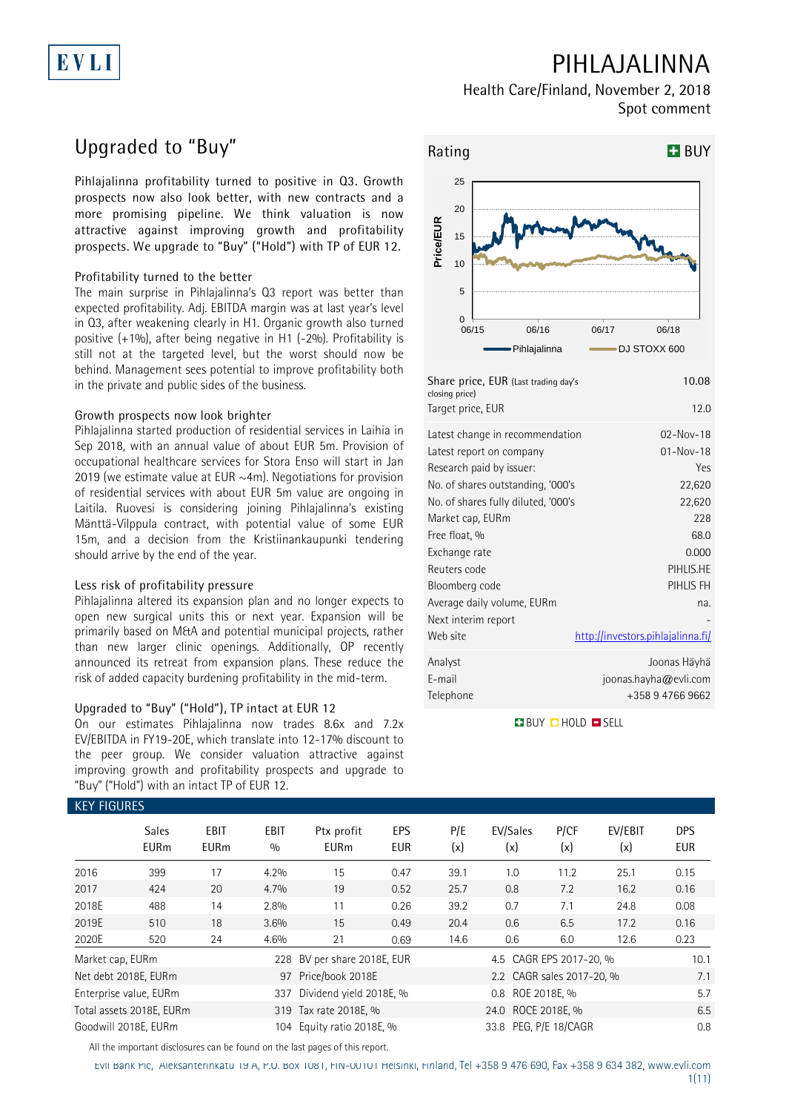# EVLI

## **PIHLAJALINNA**

**Health Care/Finland, November 2, 2018 Spot comment**

## **Upgraded to "Buy"**

**Pihlajalinna profitability turned to positive in Q3. Growth prospects now also look better, with new contracts and a more promising pipeline. We think valuation is now attractive against improving growth and profitability prospects. We upgrade to "Buy" ("Hold") with TP of EUR 12.**

#### **Profitability turned to the better**

The main surprise in Pihlajalinna's Q3 report was better than expected profitability. Adj. EBITDA margin was at last year's level in Q3, after weakening clearly in H1. Organic growth also turned positive (+1%), after being negative in H1 (-2%). Profitability is still not at the targeted level, but the worst should now be behind. Management sees potential to improve profitability both in the private and public sides of the business.

#### **Growth prospects now look brighter**

Pihlajalinna started production of residential services in Laihia in Sep 2018, with an annual value of about EUR 5m. Provision of occupational healthcare services for Stora Enso will start in Jan 2019 (we estimate value at EUR  $\sim$ 4m). Negotiations for provision of residential services with about EUR 5m value are ongoing in Laitila. Ruovesi is considering joining Pihlajalinna's existing Mänttä-Vilppula contract, with potential value of some EUR 15m, and a decision from the Kristiinankaupunki tendering should arrive by the end of the year.

#### **Less risk of profitability pressure**

Pihlajalinna altered its expansion plan and no longer expects to open new surgical units this or next year. Expansion will be primarily based on M&A and potential municipal projects, rather than new larger clinic openings. Additionally, OP recently announced its retreat from expansion plans. These reduce the risk of added capacity burdening profitability in the mid-term.

#### **Upgraded to "Buy" ("Hold"), TP intact at EUR 12**

On our estimates Pihlajalinna now trades 8.6x and 7.2x EV/EBITDA in FY19-20E, which translate into 12-17% discount to the peer group. We consider valuation attractive against improving growth and profitability prospects and upgrade to "Buy" ("Hold") with an intact TP of EUR 12.



| Share price, EUR (Last trading day's<br>closing price) | 10.08                             |
|--------------------------------------------------------|-----------------------------------|
| Target price, EUR                                      | 12.0                              |
| Latest change in recommendation                        | $02 - Nov - 18$                   |
| Latest report on company                               | $01 - Nov - 18$                   |
| Research paid by issuer:                               | Yes                               |
| No. of shares outstanding, '000's                      | 22,620                            |
| No. of shares fully diluted, '000's                    | 22,620                            |
| Market cap, EURm                                       | 228                               |
| Free float, %                                          | 68.0                              |
| Exchange rate                                          | 0.000                             |
| Reuters code                                           | PIHLIS.HE                         |
| Bloomberg code                                         | PIHLIS FH                         |
| Average daily volume, EURm                             | na.                               |
| Next interim report                                    |                                   |
| Web site                                               | http://investors.pihlajalinna.fi/ |
| Analyst                                                | Joonas Häyhä                      |
| E-mail                                                 | joonas.hayha@evli.com             |
| Telephone                                              | +358 9 4766 9662                  |
|                                                        |                                   |

**BUY QHOLD SELL** 

### **KEY FIGURES Sales EBIT EBIT Ptx profit EPS P/E EV/Sales P/CF EV/EBIT DPS EURm EURm % EURm EUR (x) (x) (x) (x) EUR** 2016 399 17 4.2% 15 0.47 39.1 1.0 11.2 25.1 0.15 2017 424 20 4.7% 19 0.52 25.7 0.8 7.2 16.2 0.16 2018E 488 14 2.8% 11 0.26 39.2 0.7 7.1 24.8 0.08 2019E 510 18 3.6% 15 0.49 20.4 0.6 6.5 17.2 0.16 2020E 520 24 4.6% 21 0.69 14.6 0.6 6.0 12.6 0.23 Market cap, EURm 2008 228 BV per share 2018E, EUR 4.5 CAGR EPS 2017-20, % 10.1 Net debt 2018E, EURm 97 Price/book 2018E 2.2 CAGR sales 2017-20, % 7.1 Enterprise value, EURm 337 Dividend yield 2018E, % 0.8 ROE 2018E, % 5.7 Total assets 2018E, EURm 319 Tax rate 2018E, % 24.0 ROCE 2018E, % 35 Goodwill 2018E, EURm 104 Equity ratio 2018E, % 33.8 PEG, P/E 18/CAGR 0.8

All the important disclosures can be found on the last pages of this report.

Evli Bank Plc, Aleksanterinkatu 19 A, P.O. Box 1081, FIN-00101 Helsinki, Finland, Tel +358 9 476 690, Fax +358 9 634 382, [www.evli.com](http://www.evli.com/)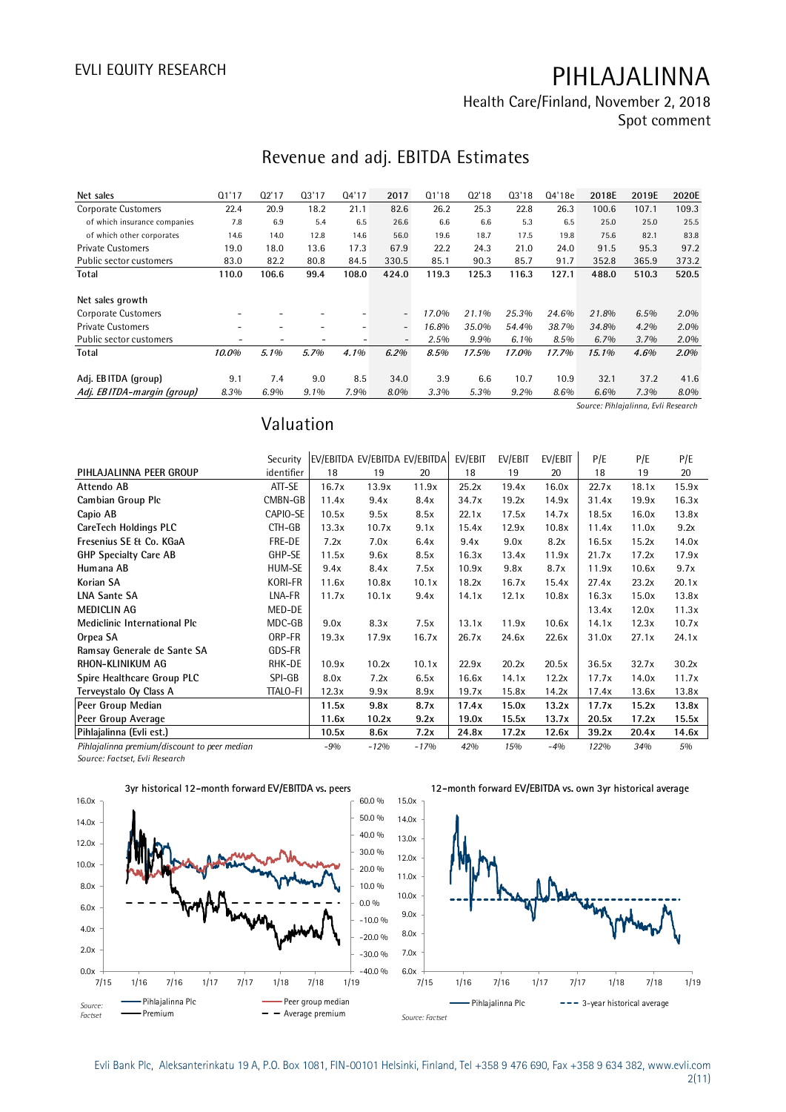**Health Care/Finland, November 2, 2018 Spot comment**

## **Revenue and adj. EBITDA Estimates**

| Net sales                    | Q1'17                    | Q2'17                    | Q3'17                    | 04'17                    | 2017                     | Q1'18 | Q2'18 | 03'18   | 04'18e | 2018E                               | 2019E | 2020E |
|------------------------------|--------------------------|--------------------------|--------------------------|--------------------------|--------------------------|-------|-------|---------|--------|-------------------------------------|-------|-------|
| <b>Corporate Customers</b>   | 22.4                     | 20.9                     | 18.2                     | 21.1                     | 82.6                     | 26.2  | 25.3  | 22.8    | 26.3   | 100.6                               | 107.1 | 109.3 |
| of which insurance companies | 7.8                      | 6.9                      | 5.4                      | 6.5                      | 26.6                     | 6.6   | 6.6   | 5.3     | 6.5    | 25.0                                | 25.0  | 25.5  |
| of which other corporates    | 14.6                     | 14.0                     | 12.8                     | 14.6                     | 56.0                     | 19.6  | 18.7  | 17.5    | 19.8   | 75.6                                | 82.1  | 83.8  |
| <b>Private Customers</b>     | 19.0                     | 18.0                     | 13.6                     | 17.3                     | 67.9                     | 22.2  | 24.3  | 21.0    | 24.0   | 91.5                                | 95.3  | 97.2  |
| Public sector customers      | 83.0                     | 82.2                     | 80.8                     | 84.5                     | 330.5                    | 85.1  | 90.3  | 85.7    | 91.7   | 352.8                               | 365.9 | 373.2 |
| Total                        | 110.0                    | 106.6                    | 99.4                     | 108.0                    | 424.0                    | 119.3 | 125.3 | 116.3   | 127.1  | 488.0                               | 510.3 | 520.5 |
|                              |                          |                          |                          |                          |                          |       |       |         |        |                                     |       |       |
| Net sales growth             |                          |                          |                          |                          |                          |       |       |         |        |                                     |       |       |
| <b>Corporate Customers</b>   |                          |                          |                          | -                        | $\overline{\phantom{0}}$ | 17.0% | 21.1% | 25.3%   | 24.6%  | 21.8%                               | 6.5%  | 2.0%  |
| <b>Private Customers</b>     | $\overline{\phantom{a}}$ | $\overline{\phantom{a}}$ | $\overline{\phantom{a}}$ | $\overline{\phantom{0}}$ | $\overline{\phantom{0}}$ | 16.8% | 35.0% | 54.4%   | 38.7%  | 34.8%                               | 4.2%  | 2.0%  |
| Public sector customers      |                          |                          |                          |                          | $\overline{\phantom{a}}$ | 2.5%  | 9.9%  | $6.1\%$ | 8.5%   | $6.7\%$                             | 3.7%  | 2.0%  |
| Total                        | 10.0%                    | 5.1%                     | 5.7%                     | 4.1%                     | $6.2\%$                  | 8.5%  | 17.5% | 17.0%   | 17.7%  | 15.1%                               | 4.6%  | 2.0%  |
|                              |                          |                          |                          |                          |                          |       |       |         |        |                                     |       |       |
| Adj. EBITDA (group)          | 9.1                      | 7.4                      | 9.0                      | 8.5                      | 34.0                     | 3.9   | 6.6   | 10.7    | 10.9   | 32.1                                | 37.2  | 41.6  |
| Adj. EBITDA-margin (group)   | 8.3%                     | 6.9%                     | 9.1%                     | 7.9%                     | 8.0%                     | 3.3%  | 5.3%  | 9.2%    | 8.6%   | 6.6%                                | 7.3%  | 8.0%  |
|                              |                          |                          |                          |                          |                          |       |       |         |        | Source: Pihlajalinna, Evli Research |       |       |

## **Valuation**

|                                              | Valuation       |       |        |                               |         |         |         |       |       |       |
|----------------------------------------------|-----------------|-------|--------|-------------------------------|---------|---------|---------|-------|-------|-------|
|                                              | Security        |       |        | EV/EBITDA EV/EBITDA EV/EBITDA | EV/EBIT | EV/EBIT | EV/EBIT | P/E   | P/E   | P/E   |
| PIHLAJALINNA PEER GROUP                      | identifier      | 18    | 19     | 20                            | 18      | 19      | 20      | 18    | 19    | 20    |
| Attendo AB                                   | ATT-SE          | 16.7x | 13.9x  | 11.9x                         | 25.2x   | 19.4x   | 16.0x   | 22.7x | 18.1x | 15.9x |
| Cambian Group Plc                            | CMBN-GB         | 11.4x | 9.4x   | 8.4x                          | 34.7x   | 19.2x   | 14.9x   | 31.4x | 19.9x | 16.3x |
| Capio AB                                     | CAPIO-SE        | 10.5x | 9.5x   | 8.5x                          | 22.1x   | 17.5x   | 14.7x   | 18.5x | 16.0x | 13.8x |
| CareTech Holdings PLC                        | CTH-GB          | 13.3x | 10.7x  | 9.1x                          | 15.4x   | 12.9x   | 10.8x   | 11.4x | 11.0x | 9.2x  |
| Fresenius SE & Co. KGaA                      | FRE-DE          | 7.2x  | 7.0x   | 6.4x                          | 9.4x    | 9.0x    | 8.2x    | 16.5x | 15.2x | 14.0x |
| <b>GHP Specialty Care AB</b>                 | GHP-SE          | 11.5x | 9.6x   | 8.5x                          | 16.3x   | 13.4x   | 11.9x   | 21.7x | 17.2x | 17.9x |
| Humana AB                                    | HUM-SE          | 9.4x  | 8.4x   | 7.5x                          | 10.9x   | 9.8x    | 8.7x    | 11.9x | 10.6x | 9.7x  |
| Korian SA                                    | KORI-FR         | 11.6x | 10.8x  | 10.1x                         | 18.2x   | 16.7x   | 15.4x   | 27.4x | 23.2x | 20.1x |
| <b>LNA Sante SA</b>                          | LNA-FR          | 11.7x | 10.1x  | 9.4x                          | 14.1x   | 12.1x   | 10.8x   | 16.3x | 15.0x | 13.8x |
| <b>MEDICLIN AG</b>                           | MED-DE          |       |        |                               |         |         |         | 13.4x | 12.0x | 11.3x |
| Mediclinic International Plc                 | MDC-GB          | 9.0x  | 8.3x   | 7.5x                          | 13.1x   | 11.9x   | 10.6x   | 14.1x | 12.3x | 10.7x |
| Orpea SA                                     | ORP-FR          | 19.3x | 17.9x  | 16.7x                         | 26.7x   | 24.6x   | 22.6x   | 31.0x | 27.1x | 24.1x |
| Ramsay Generale de Sante SA                  | GDS-FR          |       |        |                               |         |         |         |       |       |       |
| RHON-KLINIKUM AG                             | RHK-DE          | 10.9x | 10.2x  | 10.1x                         | 22.9x   | 20.2x   | 20.5x   | 36.5x | 32.7x | 30.2x |
| Spire Healthcare Group PLC                   | SPI-GB          | 8.0x  | 7.2x   | 6.5x                          | 16.6x   | 14.1x   | 12.2x   | 17.7x | 14.0x | 11.7x |
| Terveystalo Oy Class A                       | <b>TTALO-FI</b> | 12.3x | 9.9x   | 8.9x                          | 19.7x   | 15.8x   | 14.2x   | 17.4x | 13.6x | 13.8x |
| Peer Group Median                            |                 | 11.5x | 9.8x   | 8.7x                          | 17.4x   | 15.0x   | 13.2x   | 17.7x | 15.2x | 13.8x |
| Peer Group Average                           |                 | 11.6x | 10.2x  | 9.2x                          | 19.0x   | 15.5x   | 13.7x   | 20.5x | 17.2x | 15.5x |
| Pihlajalinna (Evli est.)                     |                 | 10.5x | 8.6x   | 7.2x                          | 24.8x   | 17.2x   | 12.6x   | 39.2x | 20.4x | 14.6x |
| Pihlajalinna premium/discount to peer median |                 | $-9%$ | $-12%$ | $-17%$                        | 42%     | 15%     | $-4%$   | 122%  | 34%   | 5%    |

*Source: Factset, Evli Research*



**12-month forward EV/EBITDA vs. own 3yr historical average**

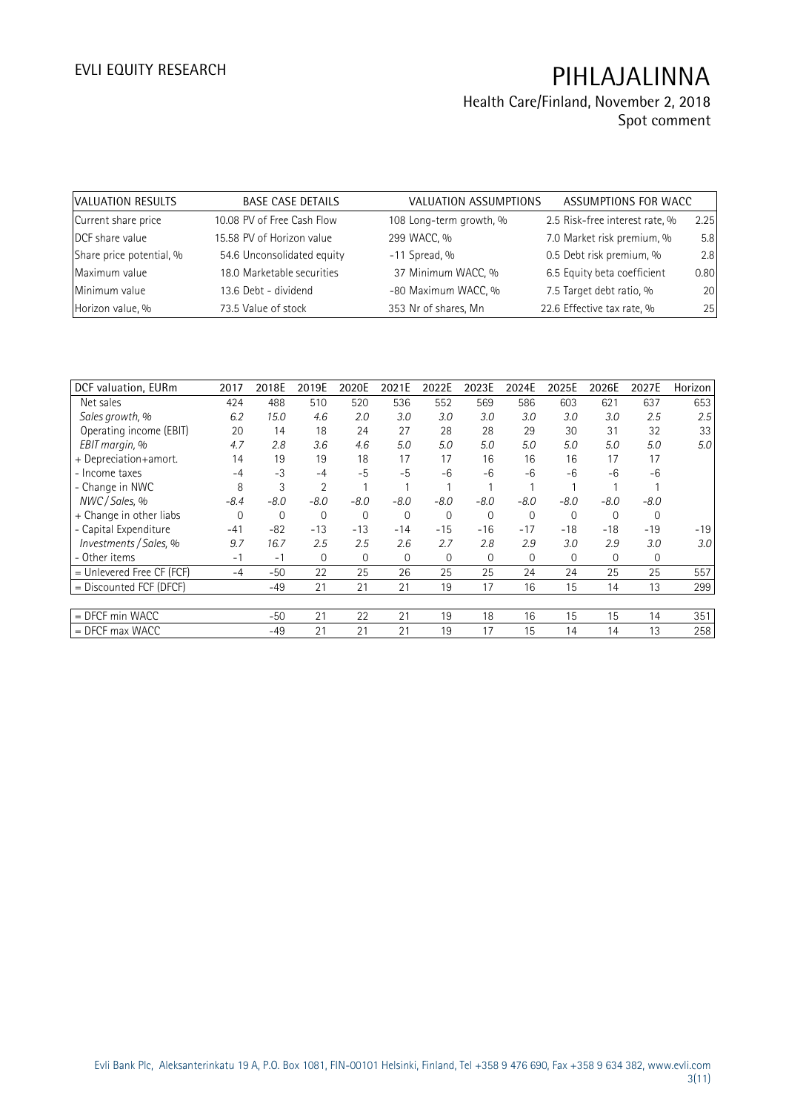| VALUATION RESULTS        | <b>BASE CASE DETAILS</b>   | VALUATION ASSUMPTIONS   | ASSUMPTIONS FOR WACC           |      |
|--------------------------|----------------------------|-------------------------|--------------------------------|------|
| Current share price      | 10.08 PV of Free Cash Flow | 108 Long-term growth, % | 2.5 Risk-free interest rate, % | 2.25 |
| DCF share value          | 15.58 PV of Horizon value  | 299 WACC, %             | 7.0 Market risk premium, %     | 5.8  |
| Share price potential, % | 54.6 Unconsolidated equity | $-11$ Spread, %         | 0.5 Debt risk premium, %       | 2.8  |
| Maximum value            | 18.0 Marketable securities | 37 Minimum WACC, %      | 6.5 Equity beta coefficient    | 0.80 |
| Minimum value            | 13.6 Debt - dividend       | -80 Maximum WACC, %     | 7.5 Target debt ratio, %       | 20   |
| Horizon value, %         | 73.5 Value of stock        | 353 Nr of shares, Mn    | 22.6 Effective tax rate, %     | 25   |

| DCF valuation, EURm       | 2017   | 2018E        | 2019E          | 2020E        | 2021E       | 2022E          | 2023E        | 2024E       | 2025E          | 2026E  | 2027E       | Horizon          |
|---------------------------|--------|--------------|----------------|--------------|-------------|----------------|--------------|-------------|----------------|--------|-------------|------------------|
| Net sales                 | 424    | 488          | 510            | 520          | 536         | 552            | 569          | 586         | 603            | 621    | 637         | 653              |
| Sales growth, %           | 6.2    | 15.0         | 4.6            | 2.0          | 3.0         | 3.0            | 3.0          | 3.0         | 3.0            | 3.0    | 2.5         | 2.5              |
| Operating income (EBIT)   | 20     | 14           | 18             | 24           | 27          | 28             | 28           | 29          | 30             | 31     | 32          | 33               |
| EBIT margin, %            | 4.7    | 2.8          | 3.6            | 4.6          | 5.0         | 5.0            | 5.0          | 5.0         | 5.0            | 5.0    | 5.0         | 5.0              |
| + Depreciation+amort.     | 14     | 19           | 19             | 18           | 17          | 17             | 16           | 16          | 16             | 17     | 17          |                  |
| - Income taxes            | $-4$   | $-3$         | $-4$           | $-5$         | $-5$        | $-6$           | $-6$         | $-6$        | -6             | $-6$   | $-6$        |                  |
| - Change in NWC           | 8      | 3            | $\overline{2}$ |              |             |                |              |             |                |        |             |                  |
| NWC / Sales, %            | $-8.4$ | $-8.0$       | $-8.0$         | $-8.0$       | $-8.0$      | $-8.0$         | $-8.0$       | $-8.0$      | $-8.0$         | $-8.0$ | $-8.0$      |                  |
| + Change in other liabs   | 0      | $\mathbf{0}$ | $\mathbf{0}$   | $\mathbf{0}$ | $\mathbf 0$ | $\overline{0}$ | 0            | $\mathbf 0$ | $\overline{0}$ | 0      | 0           |                  |
| - Capital Expenditure     | $-41$  | $-82$        | $-13$          | $-13$        | $-14$       | $-15$          | $-16$        | $-17$       | $-18$          | $-18$  | $-19$       | $-19$            |
| Investments / Sales, %    | 9.7    | 16.7         | 2.5            | 2.5          | 2.6         | 2.7            | 2.8          | 2.9         | 3.0            | 2.9    | 3.0         | 3.0 <sub>l</sub> |
| - Other items             | $-1$   | $-1$         | 0              | $\mathbf 0$  | $\mathbf 0$ | $\mathbf 0$    | $\mathbf{0}$ | $\mathbf 0$ | $\mathbf 0$    | 0      | $\mathbf 0$ |                  |
| = Unlevered Free CF (FCF) | $-4$   | $-50$        | 22             | 25           | 26          | 25             | 25           | 24          | 24             | 25     | 25          | 557              |
| = Discounted FCF (DFCF)   |        | $-49$        | 21             | 21           | 21          | 19             | 17           | 16          | 15             | 14     | 13          | 299              |
|                           |        |              |                |              |             |                |              |             |                |        |             |                  |
| $=$ DFCF min WACC         |        | -50          | 21             | 22           | 21          | 19             | 18           | 16          | 15             | 15     | 14          | 351              |
| $=$ DFCF max WACC         |        | $-49$        | 21             | 21           | 21          | 19             | 17           | 15          | 14             | 14     | 13          | 258              |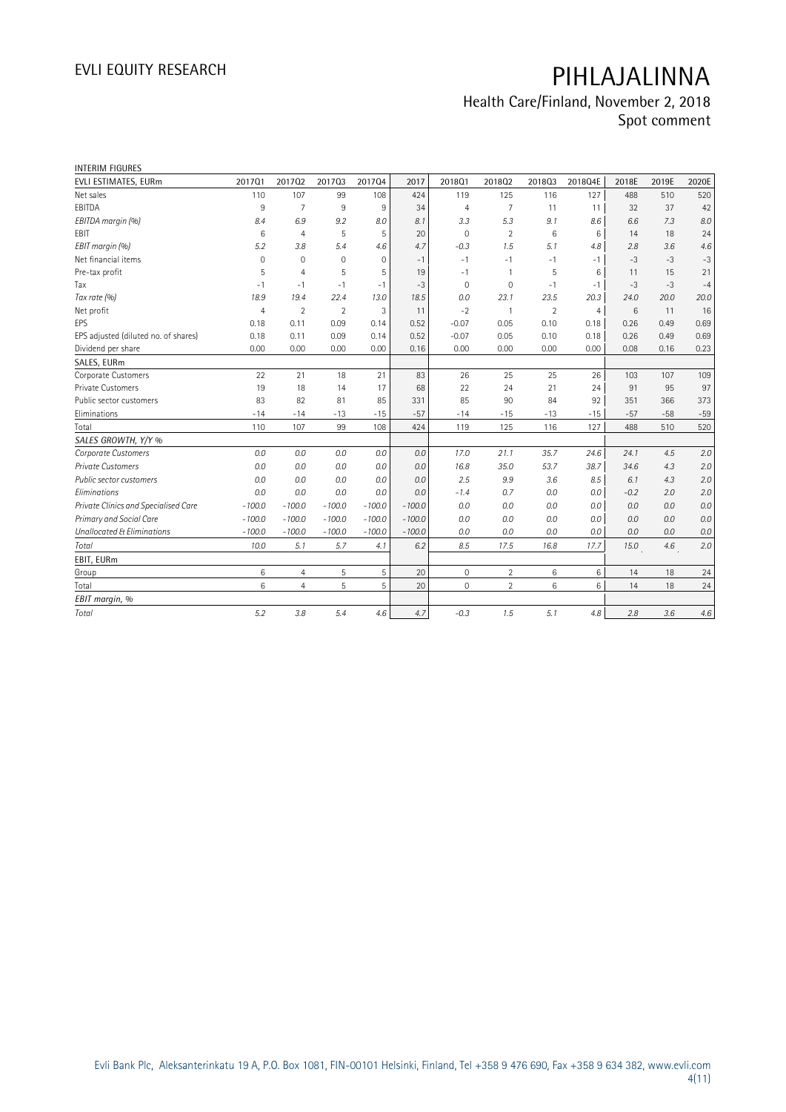| <b>INTERIM FIGURES</b>               |                |                |                |             |          |                     |                |                |                |        |       |       |
|--------------------------------------|----------------|----------------|----------------|-------------|----------|---------------------|----------------|----------------|----------------|--------|-------|-------|
| EVLI ESTIMATES, EURm                 | 201701         | 201702         | 201703         | 201704      | 2017     | 2018Q1              | 201802         | 201803         | 2018Q4E        | 2018E  | 2019E | 2020E |
| Net sales                            | 110            | 107            | 99             | 108         | 424      | 119                 | 125            | 116            | 127            | 488    | 510   | 520   |
| EBITDA                               | 9              | $\overline{7}$ | 9              | 9           | 34       | $\overline{4}$      | $\overline{7}$ | 11             | 11             | 32     | 37    | 42    |
| EBITDA margin (%)                    | 8.4            | 6.9            | 9.2            | 8.0         | 8.1      | 3.3                 | 5.3            | 9.1            | 8.6            | 6.6    | 7.3   | 8.0   |
| EBIT                                 | 6              | $\overline{4}$ | 5              | 5           | 20       | $\mathbf 0$         | $\overline{2}$ | 6              | 6              | 14     | 18    | 24    |
| EBIT margin (%)                      | 5.2            | 3.8            | 5.4            | 4.6         | 4.7      | $-0.3$              | 1.5            | 5.1            | 4.8            | 2.8    | 3.6   | 4.6   |
| Net financial items                  | $\mathbf 0$    | $\mathbf 0$    | $\overline{0}$ | $\mathbf 0$ | $-1$     | $-1$                | $-1$           | $-1$           | $-1$           | $-3$   | $-3$  | $-3$  |
| Pre-tax profit                       | 5              | $\overline{4}$ | 5              | 5           | 19       | $-1$                | $\mathbf{1}$   | 5              | 6              | 11     | 15    | 21    |
| Tax                                  | $-1$           | $-1$           | $-1$           | $-1$        | $-3$     | $\Omega$            | $\mathbf 0$    | $-1$           | $-1$           | $-3$   | $-3$  | $-4$  |
| Tax rate (%)                         | 18.9           | 19.4           | 22.4           | 13.0        | 18.5     | 0.0                 | 23.1           | 23.5           | 20.3           | 24.0   | 20.0  | 20.0  |
| Net profit                           | $\overline{4}$ | $\overline{2}$ | $\overline{2}$ | 3           | 11       | $-2$                | $\overline{1}$ | $\overline{2}$ | $\overline{4}$ | 6      | 11    | 16    |
| EPS                                  | 0.18           | 0.11           | 0.09           | 0.14        | 0.52     | $-0.07$             | 0.05           | 0.10           | 0.18           | 0.26   | 0.49  | 0.69  |
| EPS adjusted (diluted no. of shares) | 0.18           | 0.11           | 0.09           | 0.14        | 0.52     | $-0.07$             | 0.05           | 0.10           | 0.18           | 0.26   | 0.49  | 0.69  |
| Dividend per share                   | 0.00           | 0.00           | 0.00           | 0.00        | 0.16     | 0.00                | 0.00           | 0.00           | 0.00           | 0.08   | 0.16  | 0.23  |
| SALES, EURm                          |                |                |                |             |          |                     |                |                |                |        |       |       |
| Corporate Customers                  | 22             | 21             | 18             | 21          | 83       | 26                  | 25             | 25             | 26             | 103    | 107   | 109   |
| Private Customers                    | 19             | 18             | 14             | 17          | 68       | 22                  | 24             | 21             | 24             | 91     | 95    | 97    |
| Public sector customers              | 83             | 82             | 81             | 85          | 331      | 85                  | 90             | 84             | 92             | 351    | 366   | 373   |
| Eliminations                         | $-14$          | $-14$          | $-13$          | $-15$       | $-57$    | $-14$               | $-15$          | $-13$          | $-15$          | $-57$  | $-58$ | $-59$ |
| Total                                | 110            | 107            | 99             | 108         | 424      | 119                 | 125            | 116            | 127            | 488    | 510   | 520   |
| SALES GROWTH, Y/Y %                  |                |                |                |             |          |                     |                |                |                |        |       |       |
| Corporate Customers                  | 0.0            | 0.0            | 0.0            | 0.0         | 0.0      | 17.0                | 21.1           | 35.7           | 24.6           | 24.1   | 4.5   | 2.0   |
| <b>Private Customers</b>             | 0.0            | 0.0            | 0.0            | 0.0         | 0.0      | 16.8                | 35.0           | 53.7           | 38.7           | 34.6   | 4.3   | 2.0   |
| Public sector customers              | 0.0            | 0.0            | 0.0            | 0.0         | 0.0      | 2.5                 | 9.9            | 3.6            | 8.5            | 6.1    | 4.3   | 2.0   |
| Eliminations                         | 0.0            | 0.0            | 0.0            | 0.0         | 0.0      | $-1.4$              | 0.7            | 0.0            | 0.0            | $-0.2$ | 2.0   | 2.0   |
| Private Clinics and Specialised Care | $-100.0$       | $-100.0$       | $-100.0$       | $-100.0$    | $-100.0$ | 0.0                 | 0.0            | 0.0            | 0.0            | 0.0    | 0.0   | 0.0   |
| Primary and Social Care              | $-100.0$       | $-100.0$       | $-100.0$       | $-100.0$    | $-100.0$ | 0.0                 | 0.0            | 0.0            | 0.0            | 0.0    | 0.0   | 0.0   |
| Unallocated & Eliminations           | $-100.0$       | $-100.0$       | $-100.0$       | $-100.0$    | $-100.0$ | 0.0                 | 0.0            | 0.0            | 0.0            | 0.0    | 0.0   | 0.0   |
| Total                                | 10.0           | 5.1            | 5.7            | 4.1         | 6.2      | 8.5                 | 17.5           | 16.8           | 17.7           | 15.0   | 4.6   | 2.0   |
| EBIT, EURm                           |                |                |                |             |          |                     |                |                |                |        |       |       |
| Group                                | 6              | 4              | 5              | 5           | 20       | $\mathsf{O}\xspace$ | $\overline{2}$ | 6              | $\,6\,$        | 14     | 18    | 24    |
| Total                                | 6              | $\overline{4}$ | 5              | 5           | 20       | $\mathbf{0}$        | $\overline{2}$ | 6              | 6              | 14     | 18    | 24    |
| EBIT margin, %                       |                |                |                |             |          |                     |                |                |                |        |       |       |
| Total                                | 5.2            | 3.8            | 5.4            | 4.6         | 4.7      | $-0.3$              | 1.5            | 5.1            | 4.8            | 2.8    | 3.6   | 4.6   |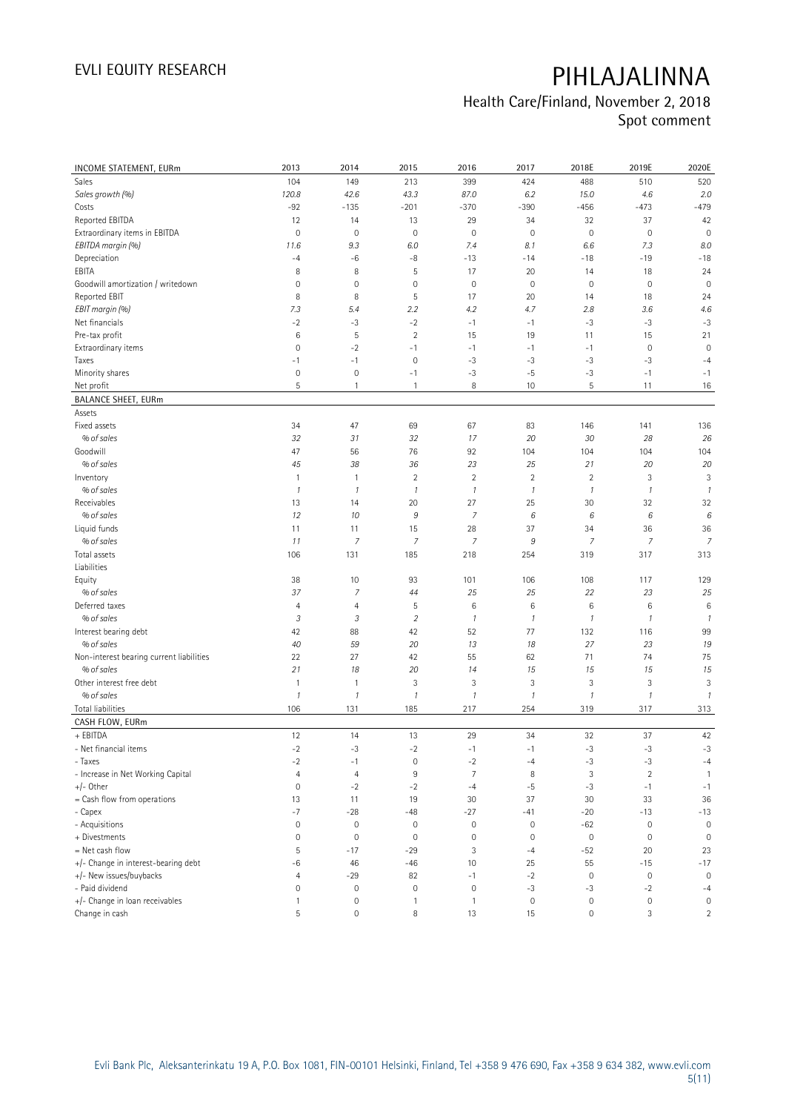| INCOME STATEMENT, EURm                   | 2013                | 2014                | 2015                | 2016                | 2017          | 2018E         | 2019E               | 2020E                     |
|------------------------------------------|---------------------|---------------------|---------------------|---------------------|---------------|---------------|---------------------|---------------------------|
| Sales                                    | 104                 | 149                 | 213                 | 399                 | 424           | 488           | 510                 | 520                       |
| Sales growth (%)                         | 120.8               | 42.6                | 43.3                | 87.0                | 6.2           | 15.0          | 4.6                 | 2.0                       |
| Costs                                    | $-92$               | $-135$              | $-201$              | $-370$              | $-390$        | $-456$        | $-473$              | $-479$                    |
| Reported EBITDA                          | 12                  | 14                  | 13                  | 29                  | 34            | 32            | 37                  | 42                        |
| Extraordinary items in EBITDA            | 0                   | $\mathbf 0$         | $\mathbf 0$         | $\mathsf{O}\xspace$ | $\mathbf 0$   | $\mathbf 0$   | $\mathbf 0$         | $\mathbf 0$               |
| EBITDA margin (%)                        | 11.6                | 9.3                 | 6.0                 | 7.4                 | 8.1           | 6.6           | 7.3                 | 8.0                       |
| Depreciation                             | $-4$                | $-6$                | $-8$                | $-13$               | $-14$         | $-18$         | $-19$               | $-18$                     |
| EBITA                                    | 8                   | 8                   | 5                   | 17                  | 20            | 14            | 18                  | 24                        |
| Goodwill amortization / writedown        | 0                   | $\mathbf 0$         | $\mathsf{O}\xspace$ | $\mathsf{O}\xspace$ | $\mathbf 0$   | $\mathbf 0$   | $\mathbf 0$         | $\mathbf 0$               |
| Reported EBIT                            | 8                   | 8                   | 5                   | 17                  | 20            | 14            | 18                  | 24                        |
| EBIT margin (%)                          | 7.3                 | 5.4                 | 2.2                 | 4.2                 | 4.7           | 2.8           | 3.6                 | 4.6                       |
| Net financials                           | $-2$                | -3                  | $-2$                | $-1$                | $-1$          | $-3$          | $-3$                | $-3$                      |
| Pre-tax profit                           | $\,6$               | 5                   | $\overline{2}$      | 15                  | 19            | 11            | 15                  | 21                        |
| Extraordinary items                      | 0                   | $-2$                | $-1$                | $-1$                | $-1$          | $-1$          | $\mathbf 0$         | $\mathbf 0$               |
| Taxes                                    | $-1$                | $-1$                | $\mathsf{O}\xspace$ | $-3$                | $-3$          | $-3$          | $-3$                | $-4$                      |
| Minority shares                          | 0                   | $\mathbf 0$         | $-1$                | $-3$                | $-5$          | $-3$          | $-1$                | $-1$                      |
| Net profit                               | 5                   | $\mathbf{1}$        | 1                   | 8                   | 10            | 5             | 11                  | 16                        |
| <b>BALANCE SHEET, EURm</b>               |                     |                     |                     |                     |               |               |                     |                           |
| Assets                                   |                     |                     |                     |                     |               |               |                     |                           |
| Fixed assets                             | 34                  | 47                  | 69                  | 67                  | 83            | 146           | 141                 | 136                       |
| % of sales                               |                     |                     |                     |                     |               |               |                     |                           |
| Goodwill                                 | 32<br>47            | 31                  | 32                  | 17                  | 20            | 30            | 28<br>104           | 26                        |
|                                          |                     | 56                  | 76                  | 92                  | 104           | 104           |                     | 104                       |
| % of sales                               | 45                  | 38                  | 36                  | 23                  | 25            | 21            | 20                  | 20                        |
| Inventory                                | $\mathbf{1}$        | $\mathbf{1}$        | $\overline{2}$      | $\sqrt{2}$          | $\sqrt{2}$    | $\sqrt{2}$    | 3                   | 3                         |
| % of sales                               | $\mathcal{I}$       | $\boldsymbol{\eta}$ | $\mathcal{I}$       | $\mathcal{I}$       | $\mathcal{I}$ | $\mathcal{I}$ | $\boldsymbol{\eta}$ | $\overline{\mathfrak{c}}$ |
| Receivables                              | 13                  | 14                  | 20                  | 27                  | 25            | 30            | 32                  | 32                        |
| % of sales                               | 12                  | 10                  | 9                   | $\overline{7}$      | 6             | 6             | 6                   | 6                         |
| Liquid funds                             | 11                  | 11                  | 15                  | 28                  | 37            | 34            | 36                  | 36                        |
| % of sales                               | 11                  | $\overline{7}$      | 7                   | $\overline{7}$      | 9             | 7             | 7                   | $\overline{7}$            |
| Total assets                             | 106                 | 131                 | 185                 | 218                 | 254           | 319           | 317                 | 313                       |
| Liabilities                              |                     |                     |                     |                     |               |               |                     |                           |
| Equity                                   | 38                  | 10                  | 93                  | 101                 | 106           | 108           | 117                 | 129                       |
| % of sales                               | 37                  | 7                   | 44                  | 25                  | 25            | 22            | 23                  | 25                        |
| Deferred taxes                           | $\overline{4}$      | $\overline{4}$      | 5                   | 6                   | $\,6$         | $\,6\,$       | 6                   | $\,6$                     |
| % of sales                               | 3                   | 3                   | $\overline{2}$      | $\mathcal{I}$       | $\mathcal{I}$ | $\mathcal{I}$ | $\mathcal{I}$       | $\overline{\mathfrak{c}}$ |
| Interest bearing debt                    | 42                  | 88                  | 42                  | 52                  | 77            | 132           | 116                 | 99                        |
| % of sales                               | 40                  | 59                  | 20                  | 13                  | 18            | 27            | 23                  | 19                        |
| Non-interest bearing current liabilities | 22                  | 27                  | 42                  | 55                  | 62            | 71            | 74                  | 75                        |
| % of sales                               | 21                  | 18                  | 20                  | 14                  | 15            | 15            | 15                  | 15                        |
| Other interest free debt                 | $\mathbf{1}$        | $\mathbf{1}$        | 3                   | 3                   | 3             | 3             | 3                   | 3                         |
| % of sales                               | 1                   | $\boldsymbol{\eta}$ | $\mathcal{I}$       | $\mathcal{I}$       | $\mathcal{I}$ | $\mathcal{I}$ | $\boldsymbol{\eta}$ | $\mathcal{I}$             |
| <b>Total liabilities</b>                 | 106                 | 131                 | 185                 | 217                 | 254           | 319           | 317                 | 313                       |
| CASH FLOW, EURm                          |                     |                     |                     |                     |               |               |                     |                           |
| + EBITDA                                 | 12                  | 14                  | 13                  | 29                  | 34            | 32            | 37                  | 42                        |
| - Net financial items                    | $-2$                | $-3$                | $-2$                | $-1$                | $-1$          | $-3$          | $-3$                | $-3$                      |
| - Taxes                                  | $-2$                | $-1$                | $\mathsf{O}\xspace$ | $-2$                | -4            | $-3$          | $-3$                | $-4$                      |
| - Increase in Net Working Capital        | $\overline{4}$      | $\overline{4}$      | $\,9$               | $\overline{7}$      | 8             | $\sqrt{3}$    | $\overline{c}$      | $\mathbf{1}$              |
| $+/-$ Other                              | $\mathsf{O}\xspace$ | $-2$                | $-2$                | $-4$                | $-5$          | $-3$          | $-1$                | $-1$                      |
| = Cash flow from operations              | 13                  | 11                  | 19                  | 30                  | 37            | 30            | 33                  | 36                        |
| - Capex                                  | $-7$                | $-28$               | $-48$               | $-27$               | -41           | $-20$         | $-13$               | $-13$                     |
| - Acquisitions                           | $\mathsf{O}\xspace$ | $\mathbb O$         | $\mathsf{O}\xspace$ | $\mathbb O$         | $\mathbb O$   | $-62$         | $\mathbb O$         | $\mathbf 0$               |
| + Divestments                            | $\mathsf{O}\xspace$ | $\mathbb O$         | $\mathbf 0$         | 0                   | $\mathbf 0$   | $\mathbb O$   | $\mathbb O$         | $\mathbf 0$               |
| = Net cash flow                          | 5                   | $-17$               | $-29$               | 3                   | $-4$          | $-52$         | 20                  | 23                        |
| +/- Change in interest-bearing debt      | -6                  | 46                  | $-46$               | 10                  | 25            | 55            | $-15$               | $-17$                     |
| +/- New issues/buybacks                  | 4                   | $-29$               | 82                  | $-1$                | $-2$          | $\mathbb O$   | $\mathsf{O}\xspace$ | $\mathsf{O}\xspace$       |
| - Paid dividend                          | 0                   | $\mathbb O$         | $\mathsf{O}\xspace$ | $\mathsf{O}\xspace$ | $-3$          | $-3$          | $-2$                | $-4$                      |
| +/- Change in loan receivables           | $\mathbf{1}$        | $\mathbb O$         | $\mathbf{1}$        | $\mathbf{1}$        | $\mathbf 0$   | $\mathbb O$   | $\boldsymbol{0}$    | $\mathsf{O}\xspace$       |
| Change in cash                           | 5                   | $\mathbb O$         | 8                   | 13                  | 15            | $\mathbb O$   | 3                   | $\overline{2}$            |
|                                          |                     |                     |                     |                     |               |               |                     |                           |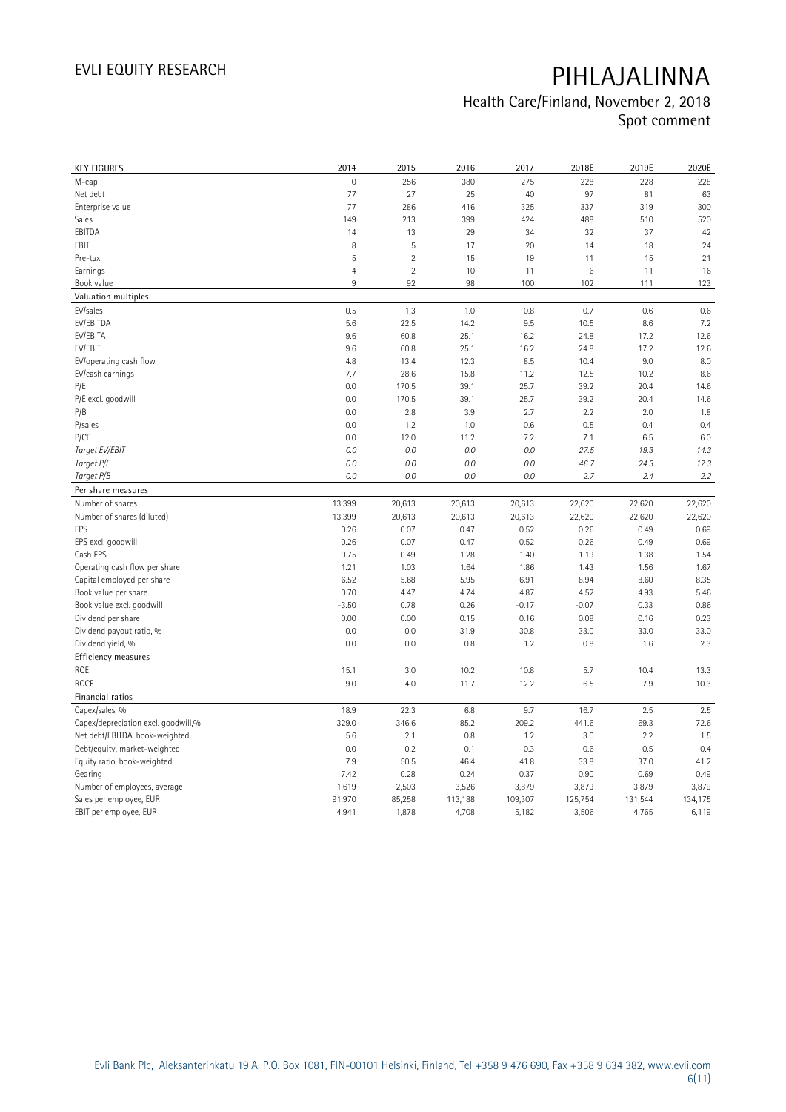| <b>KEY FIGURES</b>                      | 2014           | 2015           | 2016          | 2017          | 2018E       | 2019E       | 2020E       |
|-----------------------------------------|----------------|----------------|---------------|---------------|-------------|-------------|-------------|
| M-cap                                   | $\mathbf 0$    | 256            | 380           | 275           | 228         | 228         | 228         |
| Net debt                                | 77             | 27             | 25            | 40            | 97          | 81          | 63          |
| Enterprise value                        | 77             | 286            | 416           | 325           | 337         | 319         | 300         |
| Sales                                   | 149            | 213            | 399           | 424           | 488         | 510         | 520         |
| EBITDA                                  | 14             | 13             | 29            | 34            | 32          | 37          | 42          |
| EBIT                                    | 8              | 5              | 17            | 20            | 14          | 18          | 24          |
| Pre-tax                                 | 5              | $\overline{2}$ | 15            | 19            | 11          | 15          | 21          |
| Earnings                                | $\overline{4}$ | $\overline{2}$ | 10            | 11            | $\,6$       | 11          | 16          |
| Book value                              | 9              | 92             | 98            | 100           | 102         | 111         | 123         |
| Valuation multiples                     |                |                |               |               |             |             |             |
| EV/sales                                | 0.5            | 1.3            | 1.0           | 0.8           | 0.7         | 0.6         | 0.6         |
| EV/EBITDA                               | 5.6            | 22.5           | 14.2          | 9.5           | 10.5        | 8.6         | 7.2         |
| EV/EBITA                                | 9.6            | 60.8           | 25.1          | 16.2          | 24.8        | 17.2        | 12.6        |
| EV/EBIT                                 | 9.6            | 60.8           | 25.1          | 16.2          | 24.8        | 17.2        | 12.6        |
| EV/operating cash flow                  | 4.8            | 13.4           | 12.3          | 8.5           | 10.4        | 9.0         | 8.0         |
| EV/cash earnings                        | 7.7            | 28.6           | 15.8          | 11.2          | 12.5        | 10.2        | 8.6         |
| P/E                                     | 0.0            | 170.5          | 39.1          | 25.7          | 39.2        | 20.4        | 14.6        |
| P/E excl. goodwill                      | 0.0            | 170.5          | 39.1          | 25.7          | 39.2        | 20.4        | 14.6        |
| P/B                                     | 0.0            | 2.8            | 3.9           | 2.7           | 2.2         | 2.0         | 1.8         |
| P/sales                                 | 0.0            | 1.2            | 1.0           | 0.6           | 0.5         | 0.4         | 0.4         |
| P/CF                                    | 0.0            | 12.0           | 11.2          | 7.2           | 7.1         | 6.5         | 6.0         |
| Target EV/EBIT                          | 0.0            | 0.0            | $0.0\,$       | 0.0           | 27.5        | 19.3        | 14.3        |
| Target P/E                              | 0.0            | 0.0            | 0.0           | 0.0           | 46.7        | 24.3        | 17.3        |
| Target P/B                              | 0.0            | 0.0            | $0.0\,$       | 0.0           | 2.7         | 2.4         | 2.2         |
| Per share measures                      |                |                |               |               |             |             |             |
| Number of shares                        | 13,399         | 20,613         | 20,613        | 20,613        | 22,620      | 22,620      | 22,620      |
| Number of shares (diluted)              | 13,399         | 20,613         | 20,613        | 20,613        | 22,620      | 22,620      | 22,620      |
| EPS                                     | 0.26           | 0.07           | 0.47          | 0.52          | 0.26        | 0.49        | 0.69        |
| EPS excl. goodwill                      | 0.26           | 0.07           | 0.47          | 0.52          | 0.26        | 0.49        | 0.69        |
| Cash EPS                                | 0.75           | 0.49           | 1.28          | 1.40          | 1.19        | 1.38        | 1.54        |
| Operating cash flow per share           | 1.21           | 1.03           | 1.64          | 1.86          | 1.43        | 1.56        | 1.67        |
| Capital employed per share              | 6.52           | 5.68           | 5.95          | 6.91          | 8.94        | 8.60        | 8.35        |
| Book value per share                    | 0.70           | 4.47           | 4.74          | 4.87          | 4.52        | 4.93        | 5.46        |
| Book value excl. goodwill               | $-3.50$        | 0.78           | 0.26          | $-0.17$       | $-0.07$     | 0.33        | 0.86        |
| Dividend per share                      | 0.00           | 0.00           | 0.15          | 0.16          | 0.08        | 0.16        | 0.23        |
| Dividend payout ratio, %                | 0.0            | 0.0            | 31.9          | 30.8          | 33.0        | 33.0        | 33.0        |
| Dividend yield, %                       | 0.0            | 0.0            | 0.8           | 1.2           | 0.8         | 1.6         | 2.3         |
| <b>Efficiency measures</b>              |                |                |               |               |             |             |             |
| ROE                                     | 15.1           | 3.0            | 10.2          | 10.8          | 5.7         | 10.4        | 13.3        |
| <b>ROCE</b>                             | 9.0            | 4.0            | 11.7          | 12.2          | 6.5         | 7.9         | 10.3        |
| Financial ratios                        |                |                |               |               |             |             |             |
| Capex/sales, %                          | 18.9           | 22.3           | 6.8           | 9.7           | 16.7        | 2.5         | 2.5         |
| Capex/depreciation excl. goodwill,%     | 329.0          | 346.6          | 85.2          | 209.2         | 441.6       | 69.3        | 72.6        |
| Net debt/EBITDA, book-weighted          | 5.6            | 2.1            | 0.8           | 1.2           | 3.0         | 2.2         | 1.5         |
|                                         | 0.0            | 0.2            |               |               |             |             |             |
| Debt/equity, market-weighted            | 7.9            | 50.5           | 0.1<br>46.4   | 0.3<br>41.8   | 0.6<br>33.8 | 0.5<br>37.0 | 0.4<br>41.2 |
| Equity ratio, book-weighted             | 7.42           | 0.28           |               |               | 0.90        | 0.69        | 0.49        |
| Gearing<br>Number of employees, average | 1,619          | 2,503          | 0.24<br>3,526 | 0.37<br>3,879 | 3,879       | 3,879       | 3,879       |
|                                         | 91,970         |                |               | 109,307       | 125,754     | 131,544     |             |
| Sales per employee, EUR                 |                | 85,258         | 113,188       |               |             |             | 134,175     |
| EBIT per employee, EUR                  | 4,941          | 1,878          | 4,708         | 5,182         | 3,506       | 4,765       | 6,119       |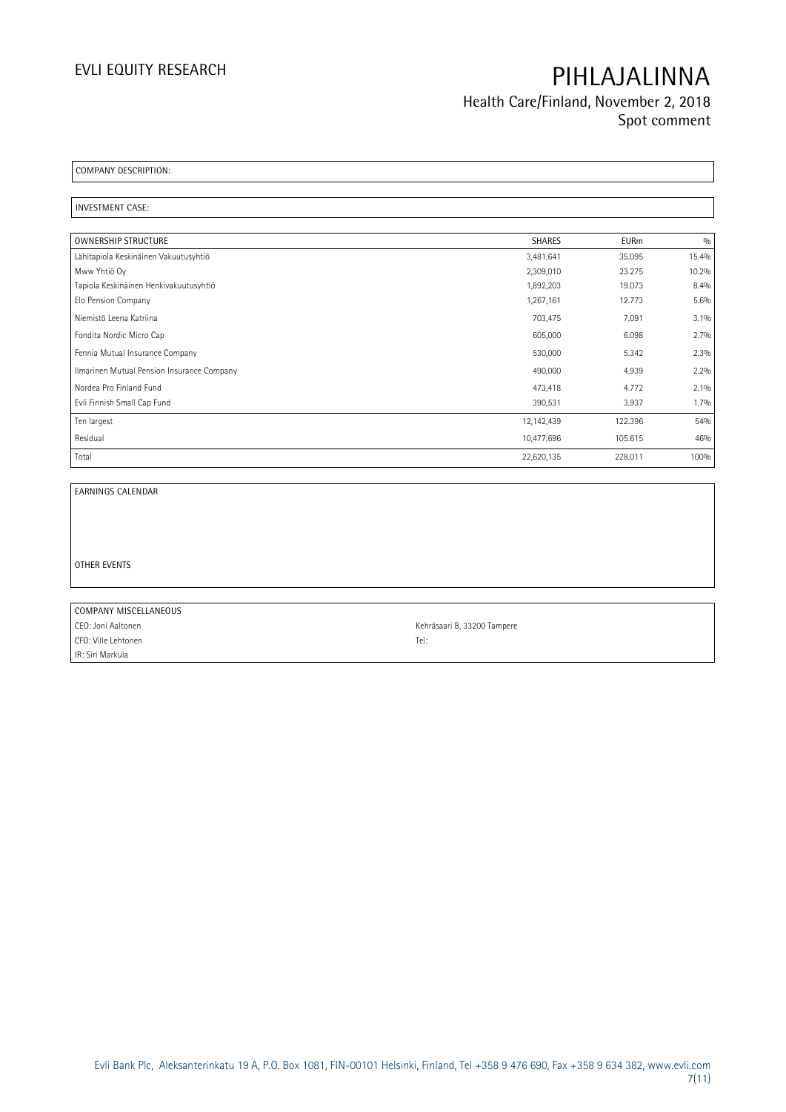**Health Care/Finland, November 2, 2018 Spot comment**

**COMPANY DESCRIPTION:** 

**INVESTMENT CASE:** 

| OWNERSHIP STRUCTURE                        | <b>SHARES</b> | <b>EURm</b> | 0/0     |
|--------------------------------------------|---------------|-------------|---------|
| Lähitapiola Keskinäinen Vakuutusyhtiö      | 3,481,641     | 35.095      | 15.4%   |
| Mww Yhtiö Oy                               | 2,309,010     | 23.275      | 10.2%   |
| Tapiola Keskinäinen Henkivakuutusyhtiö     | 1,892,203     | 19.073      | 8.4%    |
| Elo Pension Company                        | 1,267,161     | 12.773      | 5.6%    |
| Niemistö Leena Katriina                    | 703,475       | 7.091       | 3.1%    |
| Fondita Nordic Micro Cap                   | 605,000       | 6.098       | 2.7%    |
| Fennia Mutual Insurance Company            | 530,000       | 5.342       | 2.3%    |
| Ilmarinen Mutual Pension Insurance Company | 490,000       | 4.939       | 2.2%    |
| Nordea Pro Finland Fund                    | 473,418       | 4.772       | 2.1%    |
| Evli Finnish Small Cap Fund                | 390,531       | 3.937       | $1.7\%$ |
| Ten largest                                | 12,142,439    | 122.396     | 54%     |
| Residual                                   | 10,477,696    | 105.615     | 46%     |
| Total                                      | 22,620,135    | 228.011     | 100%    |

**EARNINGS CALENDAR**

**OTHER EVENTS**

**COMPANY MISCELLANEOUS** CEO: Joni Aaltonen Kehräsaari B, 33200 Tampere CFO: Ville Lehtonen Tel: IR: Siri Markula

 $\overline{\phantom{0}}$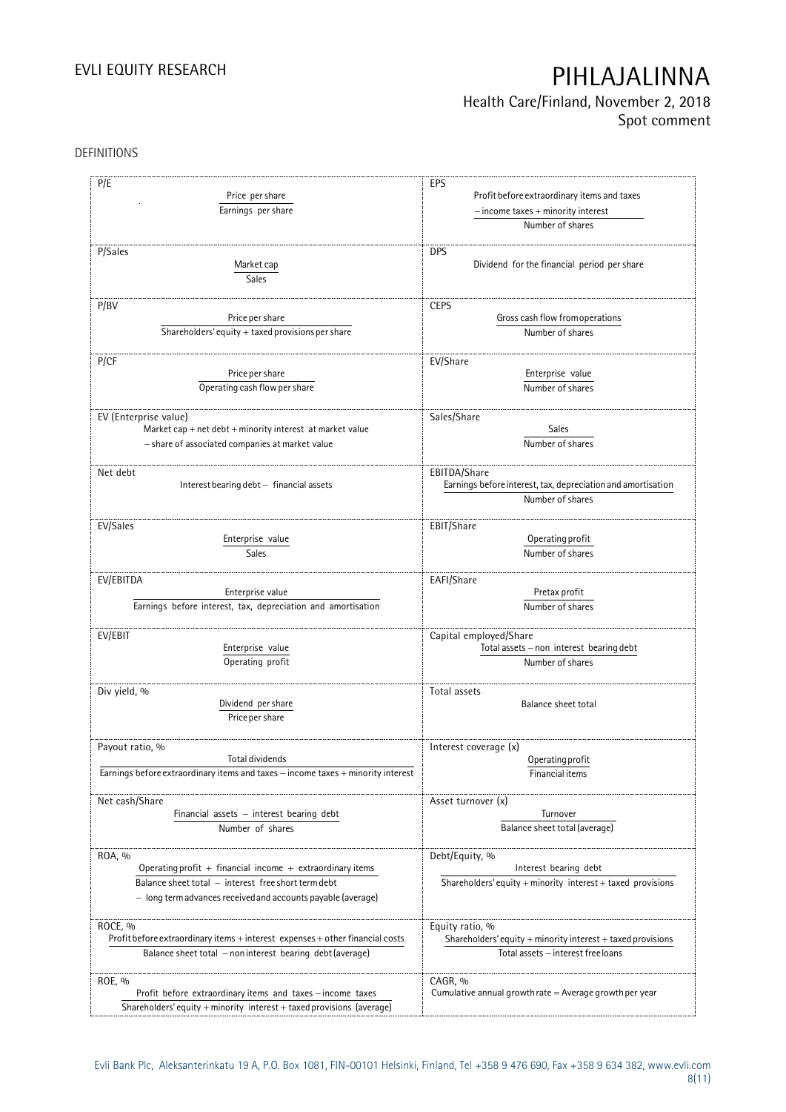## **Health Care/Finland, November 2, 2018 Spot comment**

### DEFINITIONS

| P/E<br>Price per share<br>Earnings per share                                                                                                                                               | EPS<br>Profit before extraordinary items and taxes<br>$-$ income taxes $+$ minority interest<br>Number of shares |
|--------------------------------------------------------------------------------------------------------------------------------------------------------------------------------------------|------------------------------------------------------------------------------------------------------------------|
| P/Sales<br>Market cap<br>Sales                                                                                                                                                             | <b>DPS</b><br>Dividend for the financial period per share                                                        |
| P/BV                                                                                                                                                                                       | <b>CEPS</b>                                                                                                      |
| Price per share                                                                                                                                                                            | Gross cash flow from operations                                                                                  |
| Shareholders' equity $+$ taxed provisions per share                                                                                                                                        | Number of shares                                                                                                 |
| P/CF                                                                                                                                                                                       | EV/Share                                                                                                         |
| Price per share                                                                                                                                                                            | Enterprise value                                                                                                 |
| Operating cash flow per share                                                                                                                                                              | Number of shares                                                                                                 |
| EV (Enterprise value)                                                                                                                                                                      | Sales/Share                                                                                                      |
| Market cap + net debt + minority interest at market value                                                                                                                                  | Sales                                                                                                            |
| - share of associated companies at market value                                                                                                                                            | Number of shares                                                                                                 |
| Net debt<br>Interest bearing debt - financial assets                                                                                                                                       | EBITDA/Share<br>Earnings before interest, tax, depreciation and amortisation<br>Number of shares                 |
| EV/Sales                                                                                                                                                                                   | EBIT/Share                                                                                                       |
| Enterprise value                                                                                                                                                                           | Operating profit                                                                                                 |
| <b>Sales</b>                                                                                                                                                                               | Number of shares                                                                                                 |
| EV/EBITDA                                                                                                                                                                                  | EAFI/Share                                                                                                       |
| Enterprise value                                                                                                                                                                           | Pretax profit                                                                                                    |
| Earnings before interest, tax, depreciation and amortisation                                                                                                                               | Number of shares                                                                                                 |
| EV/EBIT                                                                                                                                                                                    | Capital employed/Share                                                                                           |
| Enterprise value                                                                                                                                                                           | Total assets - non interest bearing debt                                                                         |
| Operating profit                                                                                                                                                                           | Number of shares                                                                                                 |
| Div yield, %<br>Dividend per share<br>Price per share                                                                                                                                      | Total assets<br>Balance sheet total                                                                              |
| Payout ratio, %                                                                                                                                                                            | Interest coverage (x)                                                                                            |
| Total dividends                                                                                                                                                                            | Operating profit                                                                                                 |
| Earnings before extraordinary items and taxes - income taxes + minority interest                                                                                                           | Financial items                                                                                                  |
| Net cash/Share                                                                                                                                                                             | Asset turnover (x)                                                                                               |
| Financial assets - interest bearing debt                                                                                                                                                   | Turnover                                                                                                         |
| Number of shares                                                                                                                                                                           | Balance sheet total (average)                                                                                    |
| ROA, %<br>Operating profit + financial income + extraordinary items<br>Balance sheet total - interest free short term debt<br>- long term advances received and accounts payable (average) | Debt/Equity, %<br>Interest bearing debt<br>Shareholders' equity $+$ minority interest $+$ taxed provisions       |
| ROCE, %                                                                                                                                                                                    | Equity ratio, %                                                                                                  |
| Profit before extraordinary items + interest expenses + other financial costs                                                                                                              | Shareholders' equity + minority interest + taxed provisions                                                      |
| Balance sheet total - non interest bearing debt (average)                                                                                                                                  | Total assets - interest free loans                                                                               |
| ROE, %<br>Profit before extraordinary items and taxes - income taxes<br>Shareholders' equity + minority interest + taxed provisions (average)                                              | CAGR, %<br>Cumulative annual growth rate = Average growth per year                                               |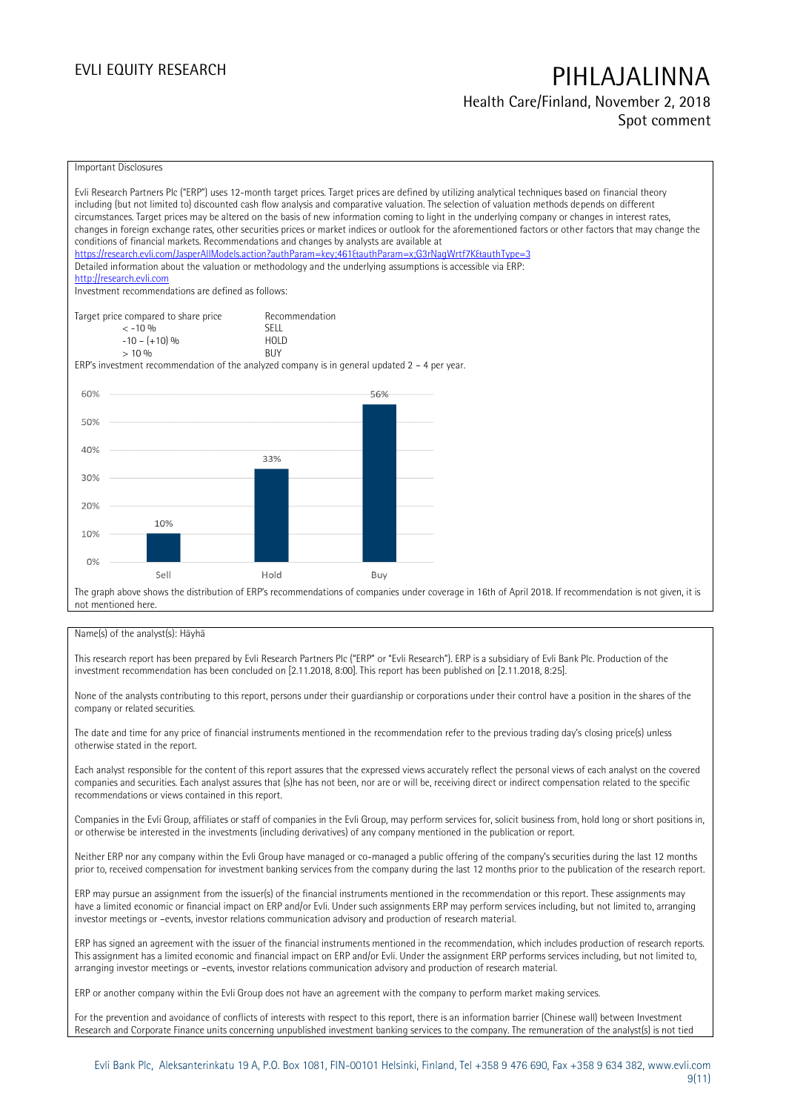### **Health Care/Finland, November 2, 2018 Spot comment**



#### Name(s) of the analyst(s): Häyhä

This research report has been prepared by Evli Research Partners Plc ("ERP" or "Evli Research"). ERP is a subsidiary of Evli Bank Plc. Production of the investment recommendation has been concluded on [2.11.2018, 8:00]. This report has been published on [2.11.2018, 8:25].

None of the analysts contributing to this report, persons under their guardianship or corporations under their control have a position in the shares of the company or related securities.

The date and time for any price of financial instruments mentioned in the recommendation refer to the previous trading day's closing price(s) unless otherwise stated in the report.

Each analyst responsible for the content of this report assures that the expressed views accurately reflect the personal views of each analyst on the covered companies and securities. Each analyst assures that (s)he has not been, nor are or will be, receiving direct or indirect compensation related to the specific recommendations or views contained in this report.

Companies in the Evli Group, affiliates or staff of companies in the Evli Group, may perform services for, solicit business from, hold long or short positions in, or otherwise be interested in the investments (including derivatives) of any company mentioned in the publication or report.

Neither ERP nor any company within the Evli Group have managed or co-managed a public offering of the company's securities during the last 12 months prior to, received compensation for investment banking services from the company during the last 12 months prior to the publication of the research report.

ERP may pursue an assignment from the issuer(s) of the financial instruments mentioned in the recommendation or this report. These assignments may have a limited economic or financial impact on ERP and/or Evli. Under such assignments ERP may perform services including, but not limited to, arranging investor meetings or –events, investor relations communication advisory and production of research material.

ERP has signed an agreement with the issuer of the financial instruments mentioned in the recommendation, which includes production of research reports. This assignment has a limited economic and financial impact on ERP and/or Evli. Under the assignment ERP performs services including, but not limited to, arranging investor meetings or –events, investor relations communication advisory and production of research material.

ERP or another company within the Evli Group does not have an agreement with the company to perform market making services.

For the prevention and avoidance of conflicts of interests with respect to this report, there is an information barrier (Chinese wall) between Investment Research and Corporate Finance units concerning unpublished investment banking services to the company. The remuneration of the analyst(s) is not tied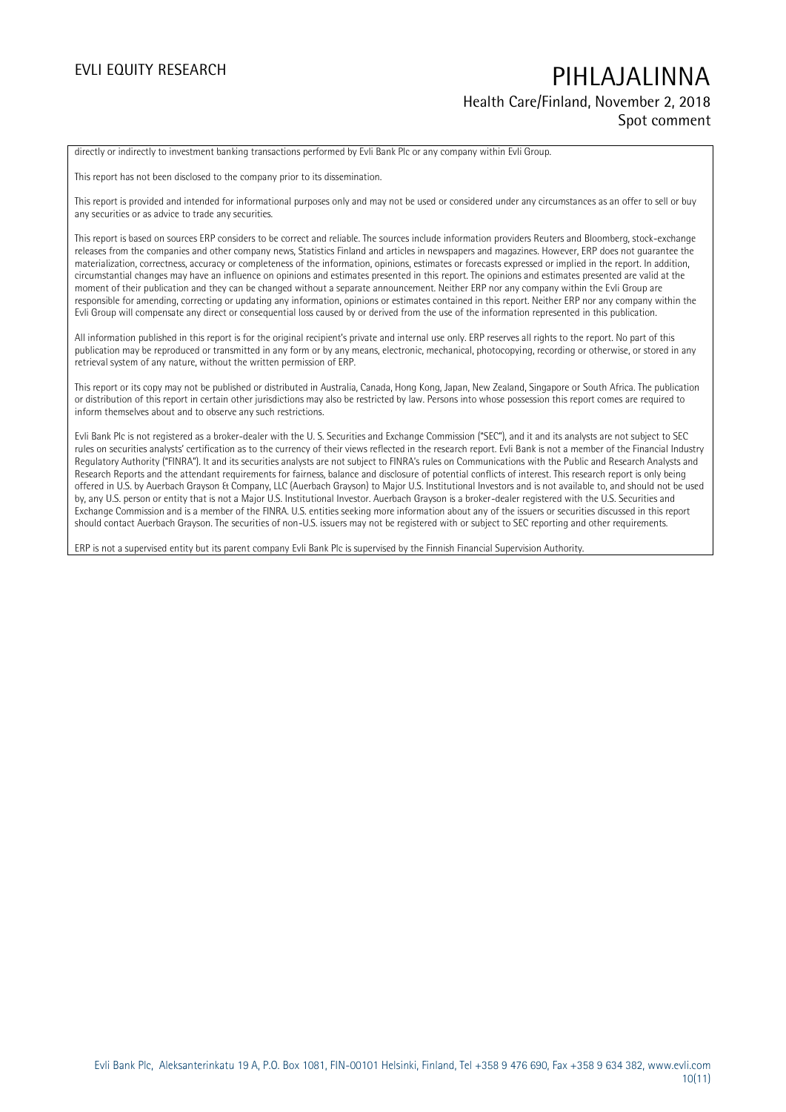### **Health Care/Finland, November 2, 2018 Spot comment**

directly or indirectly to investment banking transactions performed by Evli Bank Plc or any company within Evli Group.

This report has not been disclosed to the company prior to its dissemination.

This report is provided and intended for informational purposes only and may not be used or considered under any circumstances as an offer to sell or buy any securities or as advice to trade any securities.

This report is based on sources ERP considers to be correct and reliable. The sources include information providers Reuters and Bloomberg, stock-exchange releases from the companies and other company news, Statistics Finland and articles in newspapers and magazines. However, ERP does not guarantee the materialization, correctness, accuracy or completeness of the information, opinions, estimates or forecasts expressed or implied in the report. In addition, circumstantial changes may have an influence on opinions and estimates presented in this report. The opinions and estimates presented are valid at the moment of their publication and they can be changed without a separate announcement. Neither ERP nor any company within the Evli Group are responsible for amending, correcting or updating any information, opinions or estimates contained in this report. Neither ERP nor any company within the Evli Group will compensate any direct or consequential loss caused by or derived from the use of the information represented in this publication.

All information published in this report is for the original recipient's private and internal use only. ERP reserves all rights to the report. No part of this publication may be reproduced or transmitted in any form or by any means, electronic, mechanical, photocopying, recording or otherwise, or stored in any retrieval system of any nature, without the written permission of ERP.

This report or its copy may not be published or distributed in Australia, Canada, Hong Kong, Japan, New Zealand, Singapore or South Africa. The publication or distribution of this report in certain other jurisdictions may also be restricted by law. Persons into whose possession this report comes are required to inform themselves about and to observe any such restrictions.

Evli Bank Plc is not registered as a broker-dealer with the U. S. Securities and Exchange Commission ("SEC"), and it and its analysts are not subject to SEC rules on securities analysts' certification as to the currency of their views reflected in the research report. Evli Bank is not a member of the Financial Industry Regulatory Authority ("FINRA"). It and its securities analysts are not subject to FINRA's rules on Communications with the Public and Research Analysts and Research Reports and the attendant requirements for fairness, balance and disclosure of potential conflicts of interest. This research report is only being offered in U.S. by Auerbach Grayson & Company, LLC (Auerbach Grayson) to Major U.S. Institutional Investors and is not available to, and should not be used by, any U.S. person or entity that is not a Major U.S. Institutional Investor. Auerbach Grayson is a broker-dealer registered with the U.S. Securities and Exchange Commission and is a member of the FINRA. U.S. entities seeking more information about any of the issuers or securities discussed in this report should contact Auerbach Grayson. The securities of non-U.S. issuers may not be registered with or subject to SEC reporting and other requirements.

ERP is not a supervised entity but its parent company Evli Bank Plc is supervised by the Finnish Financial Supervision Authority.